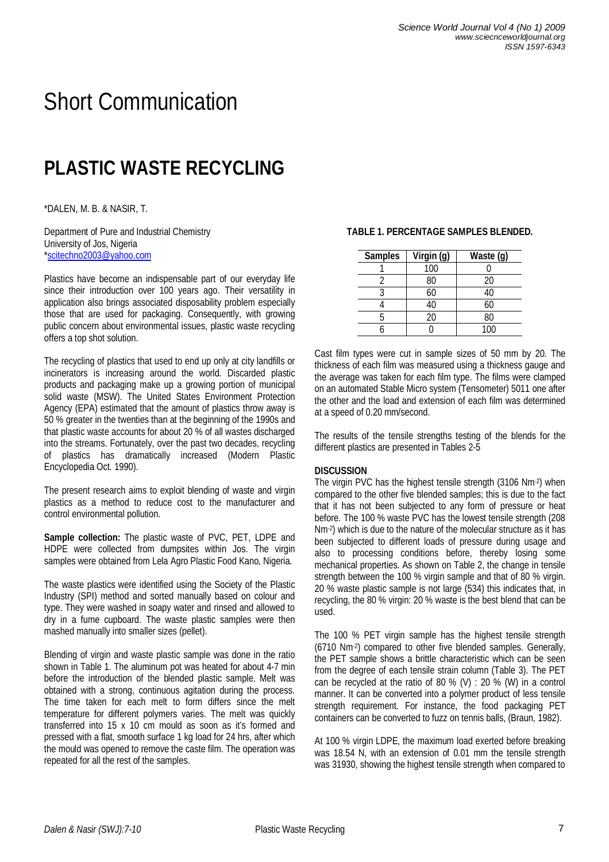# Short Communication

# **PLASTIC WASTE RECYCLING**

\*DALEN, M. B. & NASIR, T.

Department of Pure and Industrial Chemistry University of Jos, Nigeria \*scitechno2003@yahoo.com

Plastics have become an indispensable part of our everyday life since their introduction over 100 years ago. Their versatility in application also brings associated disposability problem especially those that are used for packaging. Consequently, with growing public concern about environmental issues, plastic waste recycling offers a top shot solution.

The recycling of plastics that used to end up only at city landfills or incinerators is increasing around the world. Discarded plastic products and packaging make up a growing portion of municipal solid waste (MSW). The United States Environment Protection Agency (EPA) estimated that the amount of plastics throw away is 50 % greater in the twenties than at the beginning of the 1990s and that plastic waste accounts for about 20 % of all wastes discharged into the streams. Fortunately, over the past two decades, recycling of plastics has dramatically increased (Modern Plastic Encyclopedia Oct. 1990).

The present research aims to exploit blending of waste and virgin plastics as a method to reduce cost to the manufacturer and control environmental pollution.

**Sample collection:** The plastic waste of PVC, PET, LDPE and HDPE were collected from dumpsites within Jos. The virgin samples were obtained from Lela Agro Plastic Food Kano, Nigeria.

The waste plastics were identified using the Society of the Plastic Industry (SPI) method and sorted manually based on colour and type. They were washed in soapy water and rinsed and allowed to dry in a fume cupboard. The waste plastic samples were then mashed manually into smaller sizes (pellet).

Blending of virgin and waste plastic sample was done in the ratio shown in Table 1. The aluminum pot was heated for about 4-7 min before the introduction of the blended plastic sample. Melt was obtained with a strong, continuous agitation during the process. The time taken for each melt to form differs since the melt temperature for different polymers varies. The melt was quickly transferred into 15 x 10 cm mould as soon as it's formed and pressed with a flat, smooth surface 1 kg load for 24 hrs, after which the mould was opened to remove the caste film. The operation was repeated for all the rest of the samples.

| <b>Samples</b> | Virgin (g) | Waste (g) |
|----------------|------------|-----------|
|                | 100        |           |
|                | 80         | 20        |
|                | 60         | 40        |
|                | 40         | 60        |
|                | 20         | 80        |
|                |            | 100       |

**TABLE 1. PERCENTAGE SAMPLES BLENDED.**

Cast film types were cut in sample sizes of 50 mm by 20. The thickness of each film was measured using a thickness gauge and the average was taken for each film type. The films were clamped on an automated Stable Micro system (Tensometer) 5011 one after the other and the load and extension of each film was determined at a speed of 0.20 mm/second.

The results of the tensile strengths testing of the blends for the different plastics are presented in Tables 2-5

#### **DISCUSSION**

The virgin PVC has the highest tensile strength (3106 Nm-2 ) when compared to the other five blended samples; this is due to the fact that it has not been subjected to any form of pressure or heat before. The 100 % waste PVC has the lowest tensile strength (208 Nm-2 ) which is due to the nature of the molecular structure as it has been subjected to different loads of pressure during usage and also to processing conditions before, thereby losing some mechanical properties. As shown on Table 2, the change in tensile strength between the 100 % virgin sample and that of 80 % virgin. 20 % waste plastic sample is not large (534) this indicates that, in recycling, the 80 % virgin: 20 % waste is the best blend that can be used.

The 100 % PET virgin sample has the highest tensile strength (6710 Nm-2 ) compared to other five blended samples. Generally, the PET sample shows a brittle characteristic which can be seen from the degree of each tensile strain column (Table 3). The PET can be recycled at the ratio of 80 % (V) : 20 % (W) in a control manner. It can be converted into a polymer product of less tensile strength requirement. For instance, the food packaging PET containers can be converted to fuzz on tennis balls, (Braun, 1982).

At 100 % virgin LDPE, the maximum load exerted before breaking was 18.54 N, with an extension of 0.01 mm the tensile strength was 31930, showing the highest tensile strength when compared to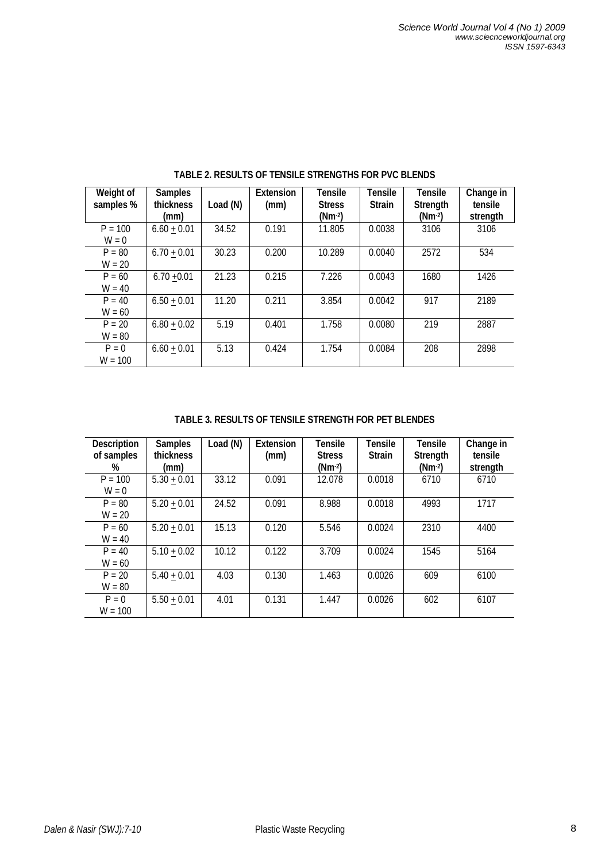| Weight of<br>samples % | <b>Samples</b><br><b>thickness</b><br>(mm) | Load (N) | <b>Extension</b><br>(mm) | <b>Tensile</b><br><b>Stress</b><br>$(Nm-2)$ | Tensile<br><b>Strain</b> | <b>Tensile</b><br><b>Strength</b><br>$(Nm-2)$ | Change in<br>tensile<br>strength |
|------------------------|--------------------------------------------|----------|--------------------------|---------------------------------------------|--------------------------|-----------------------------------------------|----------------------------------|
| $P = 100$<br>$W = 0$   | $6.60 + 0.01$                              | 34.52    | 0.191                    | 11.805                                      | 0.0038                   | 3106                                          | 3106                             |
| $P = 80$<br>$W = 20$   | $6.70 + 0.01$                              | 30.23    | 0.200                    | 10.289                                      | 0.0040                   | 2572                                          | 534                              |
| $P = 60$<br>$W = 40$   | $6.70 + 0.01$                              | 21.23    | 0.215                    | 7.226                                       | 0.0043                   | 1680                                          | 1426                             |
| $P = 40$<br>$W = 60$   | $6.50 + 0.01$                              | 11.20    | 0.211                    | 3.854                                       | 0.0042                   | 917                                           | 2189                             |
| $P = 20$<br>$W = 80$   | $6.80 + 0.02$                              | 5.19     | 0.401                    | 1.758                                       | 0.0080                   | 219                                           | 2887                             |
| $P = 0$<br>$W = 100$   | $6.60 + 0.01$                              | 5.13     | 0.424                    | 1.754                                       | 0.0084                   | 208                                           | 2898                             |

**TABLE 2. RESULTS OF TENSILE STRENGTHS FOR PVC BLENDS**

## **TABLE 3. RESULTS OF TENSILE STRENGTH FOR PET BLENDES**

| <b>Description</b><br>of samples<br>% | <b>Samples</b><br><b>thickness</b><br>(mm) | Load (N) | <b>Extension</b><br>(mm) | <b>Tensile</b><br><b>Stress</b><br>$(Nm-2)$ | Tensile<br><b>Strain</b> | <b>Tensile</b><br><b>Strength</b><br>(Nm-2) | Change in<br>tensile<br>strength |
|---------------------------------------|--------------------------------------------|----------|--------------------------|---------------------------------------------|--------------------------|---------------------------------------------|----------------------------------|
| $P = 100$<br>$W = 0$                  | $5.30 + 0.01$                              | 33.12    | 0.091                    | 12.078                                      | 0.0018                   | 6710                                        | 6710                             |
| $P = 80$<br>$W = 20$                  | $5.20 + 0.01$                              | 24.52    | 0.091                    | 8.988                                       | 0.0018                   | 4993                                        | 1717                             |
| $P = 60$<br>$W = 40$                  | $5.20 + 0.01$                              | 15.13    | 0.120                    | 5.546                                       | 0.0024                   | 2310                                        | 4400                             |
| $P = 40$<br>$W = 60$                  | $5.10 + 0.02$                              | 10.12    | 0.122                    | 3.709                                       | 0.0024                   | 1545                                        | 5164                             |
| $P = 20$<br>$W = 80$                  | $5.40 + 0.01$                              | 4.03     | 0.130                    | 1.463                                       | 0.0026                   | 609                                         | 6100                             |
| $P = 0$<br>$W = 100$                  | $5.50 + 0.01$                              | 4.01     | 0.131                    | 1.447                                       | 0.0026                   | 602                                         | 6107                             |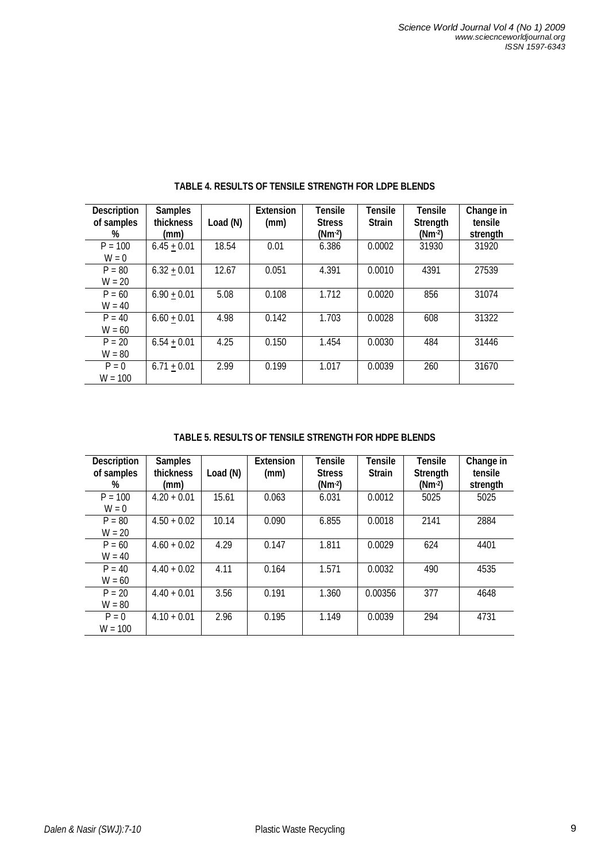| <b>Description</b><br>of samples<br>% | <b>Samples</b><br><b>thickness</b><br>(mm) | Load (N) | <b>Extension</b><br>(mm) | <b>Tensile</b><br><b>Stress</b><br>$(Nm-2)$ | Tensile<br><b>Strain</b> | <b>Tensile</b><br><b>Strength</b><br>$(Nm-2)$ | Change in<br>tensile<br>strength |
|---------------------------------------|--------------------------------------------|----------|--------------------------|---------------------------------------------|--------------------------|-----------------------------------------------|----------------------------------|
| $P = 100$<br>$W = 0$                  | $6.45 + 0.01$                              | 18.54    | 0.01                     | 6.386                                       | 0.0002                   | 31930                                         | 31920                            |
| $P = 80$<br>$W = 20$                  | $6.32 + 0.01$                              | 12.67    | 0.051                    | 4.391                                       | 0.0010                   | 4391                                          | 27539                            |
| $P = 60$<br>$W = 40$                  | $6.90 + 0.01$                              | 5.08     | 0.108                    | 1.712                                       | 0.0020                   | 856                                           | 31074                            |
| $P = 40$<br>$W = 60$                  | $6.60 + 0.01$                              | 4.98     | 0.142                    | 1.703                                       | 0.0028                   | 608                                           | 31322                            |
| $P = 20$<br>$W = 80$                  | $6.54 + 0.01$                              | 4.25     | 0.150                    | 1.454                                       | 0.0030                   | 484                                           | 31446                            |
| $P = 0$<br>$W = 100$                  | $6.71 + 0.01$                              | 2.99     | 0.199                    | 1.017                                       | 0.0039                   | 260                                           | 31670                            |

**TABLE 4. RESULTS OF TENSILE STRENGTH FOR LDPE BLENDS**

**TABLE 5. RESULTS OF TENSILE STRENGTH FOR HDPE BLENDS**

| <b>Description</b><br>of samples<br>% | <b>Samples</b><br>thickness<br>(mm) | Load (N) | <b>Extension</b><br>(mm) | Tensile<br><b>Stress</b><br>$(Nm-2)$ | Tensile<br><b>Strain</b> | <b>Tensile</b><br><b>Strength</b><br>$(Nm-2)$ | Change in<br>tensile<br>strength |
|---------------------------------------|-------------------------------------|----------|--------------------------|--------------------------------------|--------------------------|-----------------------------------------------|----------------------------------|
| $P = 100$                             | $4.20 + 0.01$                       | 15.61    | 0.063                    | 6.031                                | 0.0012                   | 5025                                          | 5025                             |
| $W = 0$                               |                                     |          |                          |                                      |                          |                                               |                                  |
| $P = 80$                              | $4.50 + 0.02$                       | 10.14    | 0.090                    | 6.855                                | 0.0018                   | 2141                                          | 2884                             |
| $W = 20$                              |                                     |          |                          |                                      |                          |                                               |                                  |
| $P = 60$                              | $4.60 + 0.02$                       | 4.29     | 0.147                    | 1.811                                | 0.0029                   | 624                                           | 4401                             |
| $W = 40$                              |                                     |          |                          |                                      |                          |                                               |                                  |
| $P = 40$                              | $4.40 + 0.02$                       | 4.11     | 0.164                    | 1.571                                | 0.0032                   | 490                                           | 4535                             |
| $W = 60$                              |                                     |          |                          |                                      |                          |                                               |                                  |
| $P = 20$                              | $4.40 + 0.01$                       | 3.56     | 0.191                    | 1.360                                | 0.00356                  | 377                                           | 4648                             |
| $W = 80$                              |                                     |          |                          |                                      |                          |                                               |                                  |
| $P = 0$                               | $4.10 + 0.01$                       | 2.96     | 0.195                    | 1.149                                | 0.0039                   | 294                                           | 4731                             |
| $W = 100$                             |                                     |          |                          |                                      |                          |                                               |                                  |